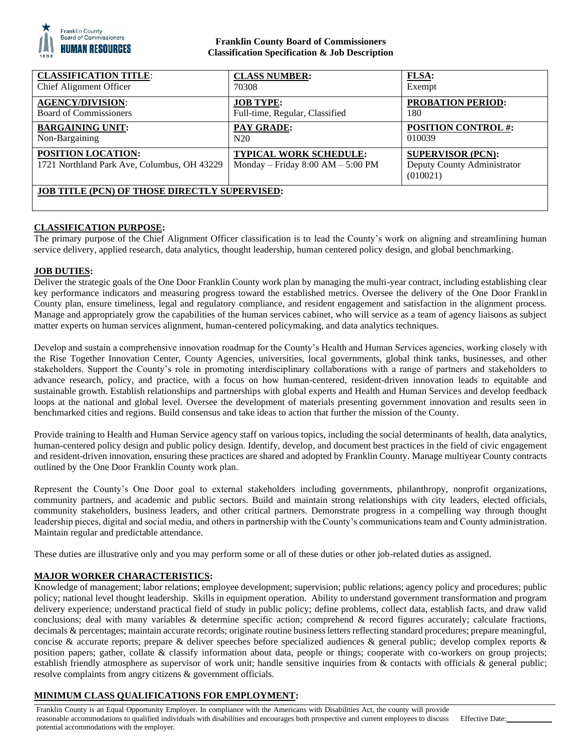

## **Franklin County Board of Commissioners Classification Specification & Job Description**

| <b>CLASSIFICATION TITLE:</b>                                      | <b>CLASS NUMBER:</b>                                                 | <b>FLSA:</b>                                                        |
|-------------------------------------------------------------------|----------------------------------------------------------------------|---------------------------------------------------------------------|
| Chief Alignment Officer                                           | 70308                                                                | Exempt                                                              |
| <b>AGENCY/DIVISION:</b>                                           | <b>JOB TYPE:</b>                                                     | <b>PROBATION PERIOD:</b>                                            |
| <b>Board of Commissioners</b>                                     | Full-time, Regular, Classified                                       | 180                                                                 |
| <b>BARGAINING UNIT:</b>                                           | <b>PAY GRADE:</b>                                                    | <b>POSITION CONTROL#:</b>                                           |
| Non-Bargaining                                                    | N20                                                                  | 010039                                                              |
| POSITION LOCATION:<br>1721 Northland Park Ave, Columbus, OH 43229 | <b>TYPICAL WORK SCHEDULE:</b><br>Monday – Friday $8:00 AM - 5:00 PM$ | <b>SUPERVISOR (PCN):</b><br>Deputy County Administrator<br>(010021) |
| <b>JOB TITLE (PCN) OF THOSE DIRECTLY SUPERVISED:</b>              |                                                                      |                                                                     |

# **CLASSIFICATION PURPOSE:**

The primary purpose of the Chief Alignment Officer classification is to lead the County's work on aligning and streamlining human service delivery, applied research, data analytics, thought leadership, human centered policy design, and global benchmarking.

# **JOB DUTIES:**

Deliver the strategic goals of the One Door Franklin County work plan by managing the multi-year contract, including establishing clear key performance indicators and measuring progress toward the established metrics. Oversee the delivery of the One Door Franklin County plan, ensure timeliness, legal and regulatory compliance, and resident engagement and satisfaction in the alignment process. Manage and appropriately grow the capabilities of the human services cabinet, who will service as a team of agency liaisons as subject matter experts on human services alignment, human-centered policymaking, and data analytics techniques.

Develop and sustain a comprehensive innovation roadmap for the County's Health and Human Services agencies, working closely with the Rise Together Innovation Center, County Agencies, universities, local governments, global think tanks, businesses, and other stakeholders. Support the County's role in promoting interdisciplinary collaborations with a range of partners and stakeholders to advance research, policy, and practice, with a focus on how human-centered, resident-driven innovation leads to equitable and sustainable growth. Establish relationships and partnerships with global experts and Health and Human Services and develop feedback loops at the national and global level. Oversee the development of materials presenting government innovation and results seen in benchmarked cities and regions. Build consensus and take ideas to action that further the mission of the County.

Provide training to Health and Human Service agency staff on various topics, including the social determinants of health, data analytics, human-centered policy design and public policy design. Identify, develop, and document best practices in the field of civic engagement and resident-driven innovation, ensuring these practices are shared and adopted by Franklin County. Manage multiyear County contracts outlined by the One Door Franklin County work plan.

Represent the County's One Door goal to external stakeholders including governments, philanthropy, nonprofit organizations, community partners, and academic and public sectors. Build and maintain strong relationships with city leaders, elected officials, community stakeholders, business leaders, and other critical partners. Demonstrate progress in a compelling way through thought leadership pieces, digital and social media, and others in partnership with the County's communications team and County administration. Maintain regular and predictable attendance.

These duties are illustrative only and you may perform some or all of these duties or other job-related duties as assigned.

## **MAJOR WORKER CHARACTERISTICS:**

Knowledge of management; labor relations; employee development; supervision; public relations; agency policy and procedures; public policy; national level thought leadership. Skills in equipment operation. Ability to understand government transformation and program delivery experience; understand practical field of study in public policy; define problems, collect data, establish facts, and draw valid conclusions; deal with many variables  $\&$  determine specific action; comprehend  $\&$  record figures accurately; calculate fractions, decimals & percentages; maintain accurate records; originate routine business letters reflecting standard procedures; prepare meaningful, concise & accurate reports; prepare & deliver speeches before specialized audiences & general public; develop complex reports & position papers; gather, collate & classify information about data, people or things; cooperate with co-workers on group projects; establish friendly atmosphere as supervisor of work unit; handle sensitive inquiries from & contacts with officials & general public; resolve complaints from angry citizens & government officials.

# **MINIMUM CLASS QUALIFICATIONS FOR EMPLOYMENT:**